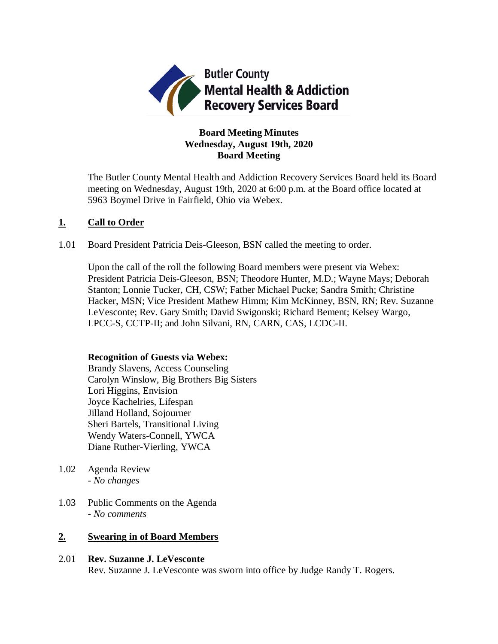

# **Board Meeting Minutes Wednesday, August 19th, 2020 Board Meeting**

The Butler County Mental Health and Addiction Recovery Services Board held its Board meeting on Wednesday, August 19th, 2020 at 6:00 p.m. at the Board office located at 5963 Boymel Drive in Fairfield, Ohio via Webex.

## **1. Call to Order**

1.01 Board President Patricia Deis-Gleeson, BSN called the meeting to order.

Upon the call of the roll the following Board members were present via Webex: President Patricia Deis-Gleeson, BSN; Theodore Hunter, M.D.; Wayne Mays; Deborah Stanton; Lonnie Tucker, CH, CSW; Father Michael Pucke; Sandra Smith; Christine Hacker, MSN; Vice President Mathew Himm; Kim McKinney, BSN, RN; Rev. Suzanne LeVesconte; Rev. Gary Smith; David Swigonski; Richard Bement; Kelsey Wargo, LPCC-S, CCTP-II; and John Silvani, RN, CARN, CAS, LCDC-II.

### **Recognition of Guests via Webex:**

Brandy Slavens, Access Counseling Carolyn Winslow, Big Brothers Big Sisters Lori Higgins, Envision Joyce Kachelries, Lifespan Jilland Holland, Sojourner Sheri Bartels, Transitional Living Wendy Waters-Connell, YWCA Diane Ruther-Vierling, YWCA

- 1.02 Agenda Review *- No changes*
- 1.03 Public Comments on the Agenda - *No comments*

# **2. Swearing in of Board Members**

2.01 **Rev. Suzanne J. LeVesconte** Rev. Suzanne J. LeVesconte was sworn into office by Judge Randy T. Rogers.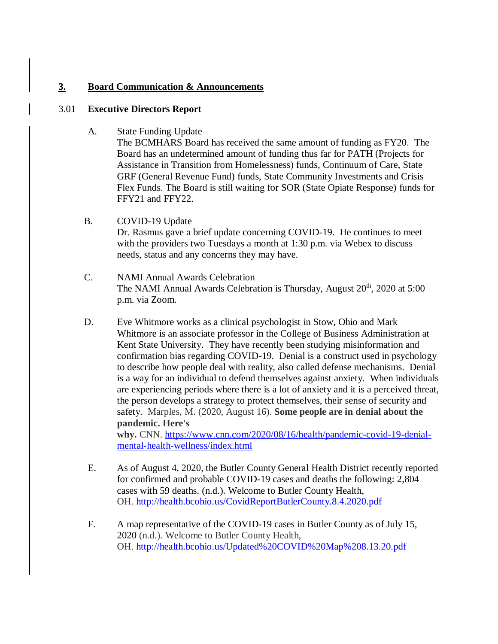# **3. Board Communication & Announcements**

## 3.01 **Executive Directors Report**

A. State Funding Update

The BCMHARS Board has received the same amount of funding as FY20. The Board has an undetermined amount of funding thus far for PATH (Projects for Assistance in Transition from Homelessness) funds, Continuum of Care, State GRF (General Revenue Fund) funds, State Community Investments and Crisis Flex Funds. The Board is still waiting for SOR (State Opiate Response) funds for FFY21 and FFY22.

- B. COVID-19 Update Dr. Rasmus gave a brief update concerning COVID-19. He continues to meet with the providers two Tuesdays a month at 1:30 p.m. via Webex to discuss needs, status and any concerns they may have.
- C. NAMI Annual Awards Celebration The NAMI Annual Awards Celebration is Thursday, August  $20<sup>th</sup>$ ,  $2020$  at  $5:00$ p.m. via Zoom.
- D. Eve Whitmore works as a clinical psychologist in Stow, Ohio and Mark Whitmore is an associate professor in the College of Business Administration at Kent State University. They have recently been studying misinformation and confirmation bias regarding COVID-19. Denial is a construct used in psychology to describe how people deal with reality, also called defense mechanisms. Denial is a way for an individual to defend themselves against anxiety. When individuals are experiencing periods where there is a lot of anxiety and it is a perceived threat, the person develops a strategy to protect themselves, their sense of security and safety. Marples, M. (2020, August 16). **Some people are in denial about the pandemic. Here's**

**why.** CNN. [https://www.cnn.com/2020/08/16/health/pandemic-covid-19-denial](https://www.cnn.com/2020/08/16/health/pandemic-covid-19-denial-mental-health-wellness/index.html)[mental-health-wellness/index.html](https://www.cnn.com/2020/08/16/health/pandemic-covid-19-denial-mental-health-wellness/index.html)

- E. As of August 4, 2020, the Butler County General Health District recently reported for confirmed and probable COVID-19 cases and deaths the following: 2,804 cases with 59 deaths. (n.d.). Welcome to Butler County Health, OH. <http://health.bcohio.us/CovidReportButlerCounty.8.4.2020.pdf>
- F. A map representative of the COVID-19 cases in Butler County as of July 15, 2020 (n.d.). Welcome to Butler County Health, OH. <http://health.bcohio.us/Updated%20COVID%20Map%208.13.20.pdf>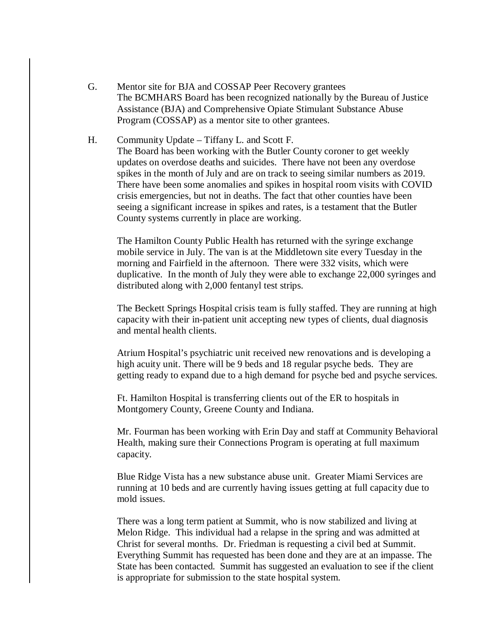- G. Mentor site for BJA and COSSAP Peer Recovery grantees The BCMHARS Board has been recognized nationally by the Bureau of Justice Assistance (BJA) and Comprehensive Opiate Stimulant Substance Abuse Program (COSSAP) as a mentor site to other grantees.
- H. Community Update Tiffany L. and Scott F. The Board has been working with the Butler County coroner to get weekly updates on overdose deaths and suicides. There have not been any overdose spikes in the month of July and are on track to seeing similar numbers as 2019. There have been some anomalies and spikes in hospital room visits with COVID crisis emergencies, but not in deaths. The fact that other counties have been seeing a significant increase in spikes and rates, is a testament that the Butler County systems currently in place are working.

The Hamilton County Public Health has returned with the syringe exchange mobile service in July. The van is at the Middletown site every Tuesday in the morning and Fairfield in the afternoon. There were 332 visits, which were duplicative. In the month of July they were able to exchange 22,000 syringes and distributed along with 2,000 fentanyl test strips.

The Beckett Springs Hospital crisis team is fully staffed. They are running at high capacity with their in-patient unit accepting new types of clients, dual diagnosis and mental health clients.

Atrium Hospital's psychiatric unit received new renovations and is developing a high acuity unit. There will be 9 beds and 18 regular psyche beds. They are getting ready to expand due to a high demand for psyche bed and psyche services.

Ft. Hamilton Hospital is transferring clients out of the ER to hospitals in Montgomery County, Greene County and Indiana.

Mr. Fourman has been working with Erin Day and staff at Community Behavioral Health, making sure their Connections Program is operating at full maximum capacity.

Blue Ridge Vista has a new substance abuse unit. Greater Miami Services are running at 10 beds and are currently having issues getting at full capacity due to mold issues.

There was a long term patient at Summit, who is now stabilized and living at Melon Ridge. This individual had a relapse in the spring and was admitted at Christ for several months. Dr. Friedman is requesting a civil bed at Summit. Everything Summit has requested has been done and they are at an impasse. The State has been contacted. Summit has suggested an evaluation to see if the client is appropriate for submission to the state hospital system.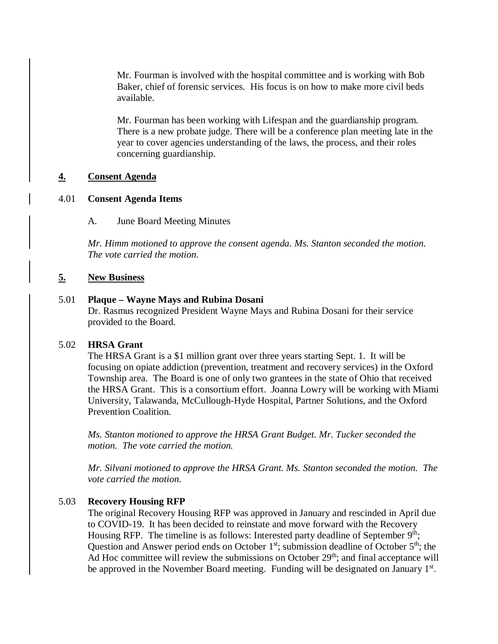Mr. Fourman is involved with the hospital committee and is working with Bob Baker, chief of forensic services. His focus is on how to make more civil beds available.

Mr. Fourman has been working with Lifespan and the guardianship program. There is a new probate judge. There will be a conference plan meeting late in the year to cover agencies understanding of the laws, the process, and their roles concerning guardianship.

## **4. Consent Agenda**

#### 4.01 **Consent Agenda Items**

A. June Board Meeting Minutes

*Mr. Himm motioned to approve the consent agenda. Ms. Stanton seconded the motion. The vote carried the motion.*

#### **5. New Business**

#### 5.01 **Plaque – Wayne Mays and Rubina Dosani**

Dr. Rasmus recognized President Wayne Mays and Rubina Dosani for their service provided to the Board.

### 5.02 **HRSA Grant**

The HRSA Grant is a \$1 million grant over three years starting Sept. 1. It will be focusing on opiate addiction (prevention, treatment and recovery services) in the Oxford Township area. The Board is one of only two grantees in the state of Ohio that received the HRSA Grant. This is a consortium effort. Joanna Lowry will be working with Miami University, Talawanda, McCullough-Hyde Hospital, Partner Solutions, and the Oxford Prevention Coalition.

*Ms. Stanton motioned to approve the HRSA Grant Budget. Mr. Tucker seconded the motion. The vote carried the motion.*

*Mr. Silvani motioned to approve the HRSA Grant. Ms. Stanton seconded the motion. The vote carried the motion.*

### 5.03 **Recovery Housing RFP**

The original Recovery Housing RFP was approved in January and rescinded in April due to COVID-19. It has been decided to reinstate and move forward with the Recovery Housing RFP. The timeline is as follows: Interested party deadline of September 9<sup>th</sup>; Question and Answer period ends on October  $1<sup>st</sup>$ ; submission deadline of October  $5<sup>th</sup>$ ; the Ad Hoc committee will review the submissions on October 29<sup>th</sup>; and final acceptance will be approved in the November Board meeting. Funding will be designated on January 1<sup>st</sup>.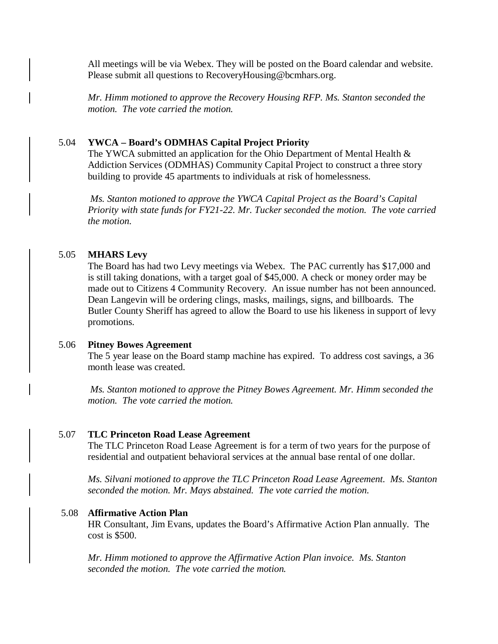All meetings will be via Webex. They will be posted on the Board calendar and website. Please submit all questions to RecoveryHousing@bcmhars.org.

*Mr. Himm motioned to approve the Recovery Housing RFP. Ms. Stanton seconded the motion. The vote carried the motion.*

### 5.04 **YWCA – Board's ODMHAS Capital Project Priority**

The YWCA submitted an application for the Ohio Department of Mental Health & Addiction Services (ODMHAS) Community Capital Project to construct a three story building to provide 45 apartments to individuals at risk of homelessness.

*Ms. Stanton motioned to approve the YWCA Capital Project as the Board's Capital Priority with state funds for FY21-22. Mr. Tucker seconded the motion. The vote carried the motion.*

### 5.05 **MHARS Levy**

The Board has had two Levy meetings via Webex. The PAC currently has \$17,000 and is still taking donations, with a target goal of \$45,000. A check or money order may be made out to Citizens 4 Community Recovery. An issue number has not been announced. Dean Langevin will be ordering clings, masks, mailings, signs, and billboards. The Butler County Sheriff has agreed to allow the Board to use his likeness in support of levy promotions.

#### 5.06 **Pitney Bowes Agreement**

The 5 year lease on the Board stamp machine has expired. To address cost savings, a 36 month lease was created.

*Ms. Stanton motioned to approve the Pitney Bowes Agreement. Mr. Himm seconded the motion. The vote carried the motion.*

### 5.07 **TLC Princeton Road Lease Agreement**

The TLC Princeton Road Lease Agreement is for a term of two years for the purpose of residential and outpatient behavioral services at the annual base rental of one dollar.

*Ms. Silvani motioned to approve the TLC Princeton Road Lease Agreement. Ms. Stanton seconded the motion. Mr. Mays abstained. The vote carried the motion.*

#### 5.08 **Affirmative Action Plan**

HR Consultant, Jim Evans, updates the Board's Affirmative Action Plan annually. The cost is \$500.

*Mr. Himm motioned to approve the Affirmative Action Plan invoice. Ms. Stanton seconded the motion. The vote carried the motion.*